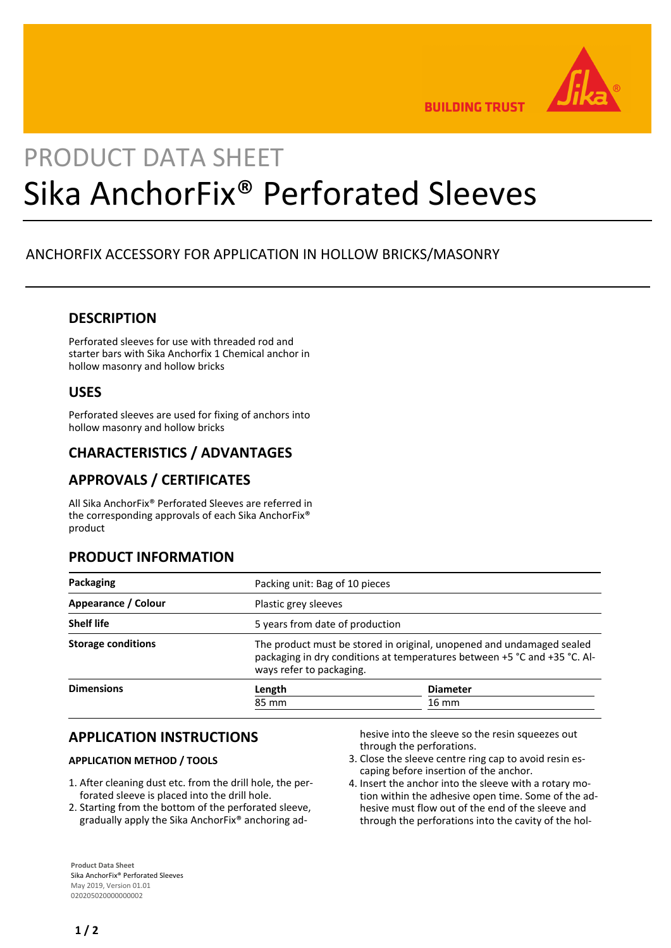

**BUILDING TRUST** 

# PRODUCT DATA SHEET Sika AnchorFix® Perforated Sleeves

# ANCHORFIX ACCESSORY FOR APPLICATION IN HOLLOW BRICKS/MASONRY

## **DESCRIPTION**

Perforated sleeves for use with threaded rod and starter bars with Sika Anchorfix 1 Chemical anchor in hollow masonry and hollow bricks

## **USES**

Perforated sleeves are used for fixing of anchors into hollow masonry and hollow bricks

## **CHARACTERISTICS / ADVANTAGES**

# **APPROVALS / CERTIFICATES**

All Sika AnchorFix® Perforated Sleeves are referred in the corresponding approvals of each Sika AnchorFix® product

## **PRODUCT INFORMATION**

| Packaging                 | Packing unit: Bag of 10 pieces                                                                                                                                                 |                 |
|---------------------------|--------------------------------------------------------------------------------------------------------------------------------------------------------------------------------|-----------------|
| Appearance / Colour       | Plastic grey sleeves                                                                                                                                                           |                 |
| <b>Shelf life</b>         | 5 years from date of production                                                                                                                                                |                 |
| <b>Storage conditions</b> | The product must be stored in original, unopened and undamaged sealed<br>packaging in dry conditions at temperatures between +5 °C and +35 °C. Al-<br>ways refer to packaging. |                 |
| <b>Dimensions</b>         | Length                                                                                                                                                                         | <b>Diameter</b> |
|                           | 85 mm                                                                                                                                                                          | 16 mm           |
|                           |                                                                                                                                                                                |                 |

## **APPLICATION INSTRUCTIONS**

#### **APPLICATION METHOD / TOOLS**

- 1. After cleaning dust etc. from the drill hole, the perforated sleeve is placed into the drill hole.
- 2. Starting from the bottom of the perforated sleeve, gradually apply the Sika AnchorFix® anchoring ad-

hesive into the sleeve so the resin squeezes out through the perforations.

- 3. Close the sleeve centre ring cap to avoid resin escaping before insertion of the anchor.
- 4. Insert the anchor into the sleeve with a rotary motion within the adhesive open time. Some of the adhesive must flow out of the end of the sleeve and through the perforations into the cavity of the hol-

**Product Data Sheet** Sika AnchorFix® Perforated Sleeves May 2019, Version 01.01 020205020000000002